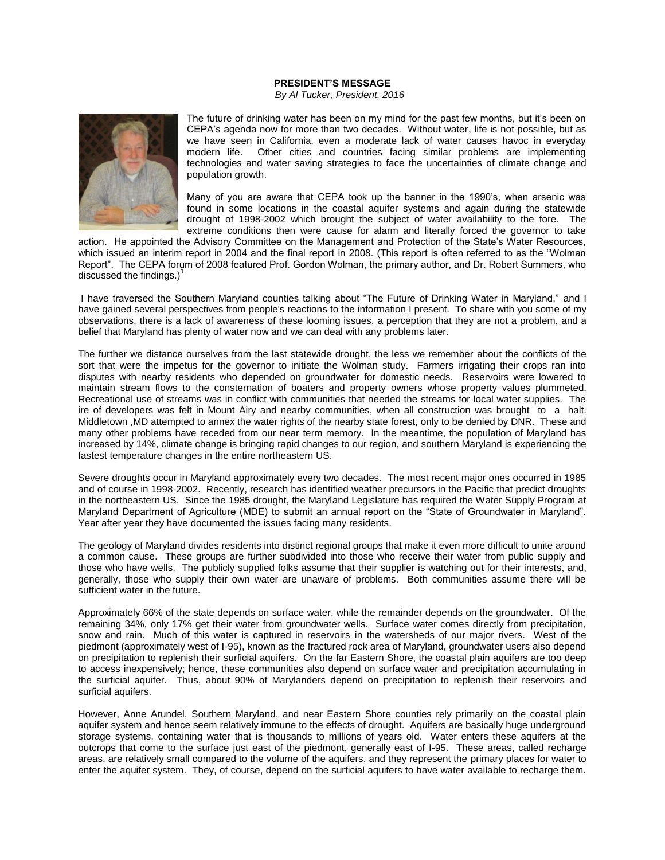## **PRESIDENT'S MESSAGE**

*By Al Tucker, President, 2016*



The future of drinking water has been on my mind for the past few months, but it's been on CEPA's agenda now for more than two decades. Without water, life is not possible, but as we have seen in California, even a moderate lack of water causes havoc in everyday modern life. Other cities and countries facing similar problems are implementing technologies and water saving strategies to face the uncertainties of climate change and population growth.

Many of you are aware that CEPA took up the banner in the 1990's, when arsenic was found in some locations in the coastal aquifer systems and again during the statewide drought of 1998-2002 which brought the subject of water availability to the fore. The extreme conditions then were cause for alarm and literally forced the governor to take

action. He appointed the Advisory Committee on the Management and Protection of the State's Water Resources, which issued an interim report in 2004 and the final report in 2008. (This report is often referred to as the "Wolman Report". The CEPA forum of 2008 featured Prof. Gordon Wolman, the primary author, and Dr. Robert Summers, who discussed the findings.) $<sup>1</sup>$ </sup>

I have traversed the Southern Maryland counties talking about "The Future of Drinking Water in Maryland," and I have gained several perspectives from people's reactions to the information I present. To share with you some of my observations, there is a lack of awareness of these looming issues, a perception that they are not a problem, and a belief that Maryland has plenty of water now and we can deal with any problems later.

The further we distance ourselves from the last statewide drought, the less we remember about the conflicts of the sort that were the impetus for the governor to initiate the Wolman study. Farmers irrigating their crops ran into disputes with nearby residents who depended on groundwater for domestic needs. Reservoirs were lowered to maintain stream flows to the consternation of boaters and property owners whose property values plummeted. Recreational use of streams was in conflict with communities that needed the streams for local water supplies. The ire of developers was felt in Mount Airy and nearby communities, when all construction was brought to a halt. Middletown ,MD attempted to annex the water rights of the nearby state forest, only to be denied by DNR. These and many other problems have receded from our near term memory. In the meantime, the population of Maryland has increased by 14%, climate change is bringing rapid changes to our region, and southern Maryland is experiencing the fastest temperature changes in the entire northeastern US.

Severe droughts occur in Maryland approximately every two decades. The most recent major ones occurred in 1985 and of course in 1998-2002. Recently, research has identified weather precursors in the Pacific that predict droughts in the northeastern US. Since the 1985 drought, the Maryland Legislature has required the Water Supply Program at Maryland Department of Agriculture (MDE) to submit an annual report on the "State of Groundwater in Maryland". Year after year they have documented the issues facing many residents.

The geology of Maryland divides residents into distinct regional groups that make it even more difficult to unite around a common cause. These groups are further subdivided into those who receive their water from public supply and those who have wells. The publicly supplied folks assume that their supplier is watching out for their interests, and, generally, those who supply their own water are unaware of problems. Both communities assume there will be sufficient water in the future.

Approximately 66% of the state depends on surface water, while the remainder depends on the groundwater. Of the remaining 34%, only 17% get their water from groundwater wells. Surface water comes directly from precipitation, snow and rain. Much of this water is captured in reservoirs in the watersheds of our major rivers. West of the piedmont (approximately west of I-95), known as the fractured rock area of Maryland, groundwater users also depend on precipitation to replenish their surficial aquifers. On the far Eastern Shore, the coastal plain aquifers are too deep to access inexpensively; hence, these communities also depend on surface water and precipitation accumulating in the surficial aquifer. Thus, about 90% of Marylanders depend on precipitation to replenish their reservoirs and surficial aquifers.

However, Anne Arundel, Southern Maryland, and near Eastern Shore counties rely primarily on the coastal plain aquifer system and hence seem relatively immune to the effects of drought. Aquifers are basically huge underground storage systems, containing water that is thousands to millions of years old. Water enters these aquifers at the outcrops that come to the surface just east of the piedmont, generally east of I-95. These areas, called recharge areas, are relatively small compared to the volume of the aquifers, and they represent the primary places for water to enter the aquifer system. They, of course, depend on the surficial aquifers to have water available to recharge them.